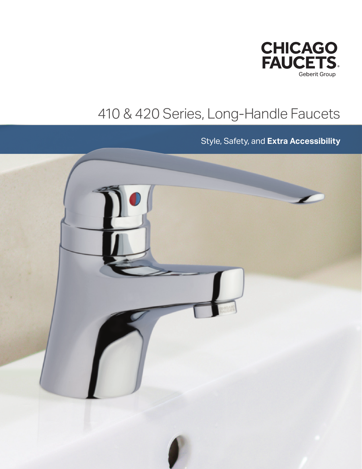

## 410 & 420 Series, Long-Handle Faucets

Style, Safety, and **Extra Accessibility**